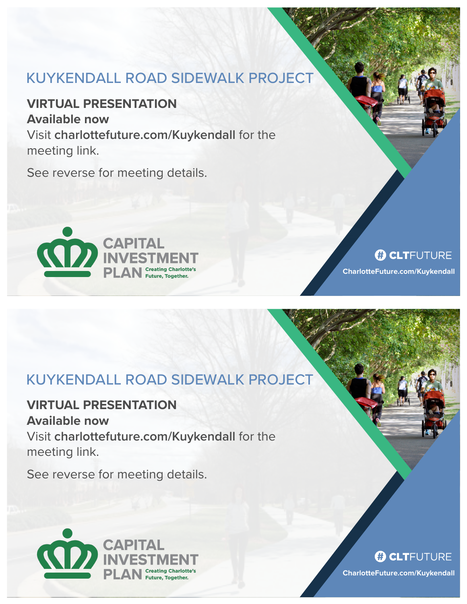# KUYKENDALL ROAD SIDEWALK PROJECT

**VIRTUAL PRESENTATION Available now**  Visit **charlottefuture.com/Kuykendall** for the

meeting link.

See reverse for meeting details.



#### **B CLT**FUTURE

**CharlotteFuture.com/Kuykendall**

# KUYKENDALL ROAD SIDEWALK PROJECT

### **VIRTUAL PRESENTATION**

**Available now**  Visit **charlottefuture.com/Kuykendall** for the meeting link.

See reverse for meeting details.



#### **B CLT**FUTURE

**CharlotteFuture.com/Kuykendall**